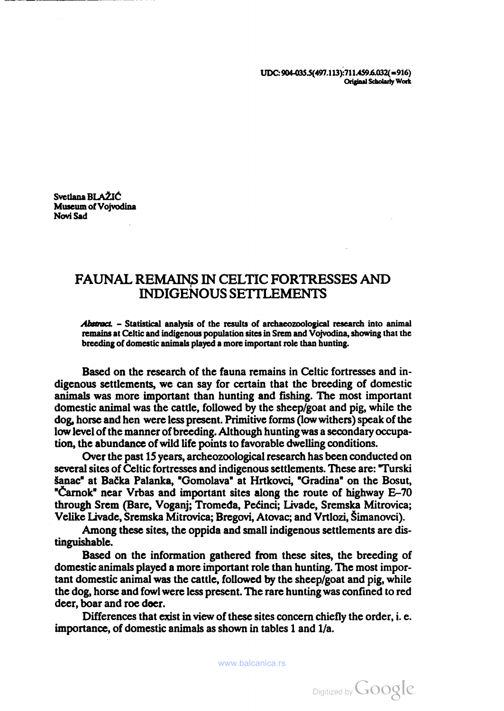UDC: 904-035.5(497.113):711.459.6.032(=916) Original Scholarty Work

Svetlana BLAŽIĆ<br>Museum of Vojvodina<br>Novi Sad

# FAUNAL REMAINS IN CELTIC FORTRESSES AND INDIGENOUS SETTLEMENTS

Abstract. - Statistical analysis of the results of archaeozoological research into animal remains at Celtic and indigenous population sites in Srem and Vojvodina, showing that the breeding of domestic animals played a more important role than hunting.

Based on the research of the fauna remains in Celtic fortresses and in digenous settlements, we can say for certain that the breeding of domestic animals was more important than hunting and fishing. The most important domestic animal was the cattle, followed by the sheep/goat and pig, while the dog, horse and hen were less present. Primitive forms (low withers) speak of the low level of the manner of breeding. Although hunting was a secondary occupa tion, the abundance of wild life points to favorable dwelling conditions.

Over the past 15 years, archeozoological research has been conducted on several sites of Celtic fortresses and indigenous settlements. These are: Turski Sanac" at Backa Palanka, "Gomolava" at Hrtkovci, "Gradina" on the Bosut, "Carnok" near Vrbas and important sites along the route of highway E-70 through Srem (Bare, Voganj; Tromeda, Peéinci; Livade, Sremska Mitrovica; Velike Livade, Sremska Mitrovica; Bregovi, Atovac; and Vrtlozi, Simanovci).

Among these sites, the oppida and small indigenous settlements are dis tinguishable.

Based on the information gathered from these sites, the breeding of domestic animals played a more important role than hunting. The most impor tant domestic animal was the cattle, followed by the sheep/goat and pig, while the dog, horse and fowl were less present. The rare hunting was confined to red deer, boar and roe deer.

Differences that exist in view of these sites concern chiefly the order, i.e. importance, of domestic animals as shown in tables <sup>1</sup> and I/a.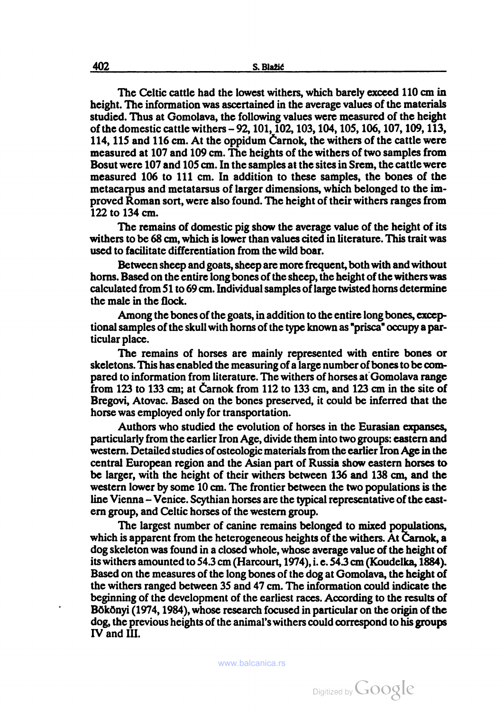The Celtic cattle had the lowest withers, which barely exceed 110 cm in height. The information was ascertained in the average values of the materials studied. Thus at Gomolava, the following values were measured of the height of the domestic cattle withers -92, 101, 102, 103, 104, 105, 106, 107, 109, 113, 114, 115 and 116 cm. At the oppidum Óarnok, the withers of the cattle were measured at 107 and 109 cm. The heights of the withers of two samples from Bosut were 107 and 105 cm. In the samples at the sites in Srem, the cattle were measured 106 to 111 cm. In addition to these samples, the bones of the metacarpus and metatarsus of larger dimensions, which belonged to the im proved Roman sort, were also found. The height of their withers ranges from 122 to 134 cm.

The remains of domestic pig show the average value of the height of its withers to be 68 cm, which is lower than values cited in literature. This trait was used to facilitate differentiation from the wild boar.

Between sheep and goats, sheep are more frequent, both with and without horns. Based on the entire long bones of the sheep, the height of the withers was calculated from 51 to 69 cm. Individual samples of large twisted horns determine the male in the flock.

Among the bones of the goats, in addition to the entire long bones, excep tional samples of the skull with horns of the type known as "prisca" occupy a par ticular place.

The remains of horses are mainly represented with entire bones or skeletons. This has enabled the measuring of a large number of bones to be com pared to information from literature. The withers of horses at Gomolava range from 123 to 133 cm; at Carnok from 112 to 133 cm, and 123 cm in the site of Bregovi, Atovac. Based on the bones preserved, it could be inferred that the horse was employed only for transportation.

Authors who studied the evolution of horses in the Eurasian expanses, particularly from the earlier Iron Age, divide them into two groups: eastern and western. Detailed studies of osteologic materials from the earlier Iron Age in the central European region and the Asian part of Russia show eastern horses to be larger, with the height of their withers between 136 and 138 cm, and the western lower by some 10 cm. The frontier between the two populations is the line Vienna - Venice. Scythian horses are the typical representative of the eastem group, and Celtic horses of the western group.

The largest number of canine remains belonged to mixed populations, which is apparent from the heterogeneous heights of the withers. At Carnok, a dog skeleton was found in a closed whole, whose average value of the height of its withers amounted to 54.3 cm (Harcourt, 1974), i. e. 54.3 cm (Koudelka, 1884). Based on the measures of the long bones of the dog at Gomolava, the height of the withers ranged between 35 and 47 cm. The information could indicate the beginning of the development of the earliest races. According to the results of Bökönyi (1974, 1984), whose research focused in particular on the origin of the dog, the previous heights of the animal's withers could correspond to his groups IV and III.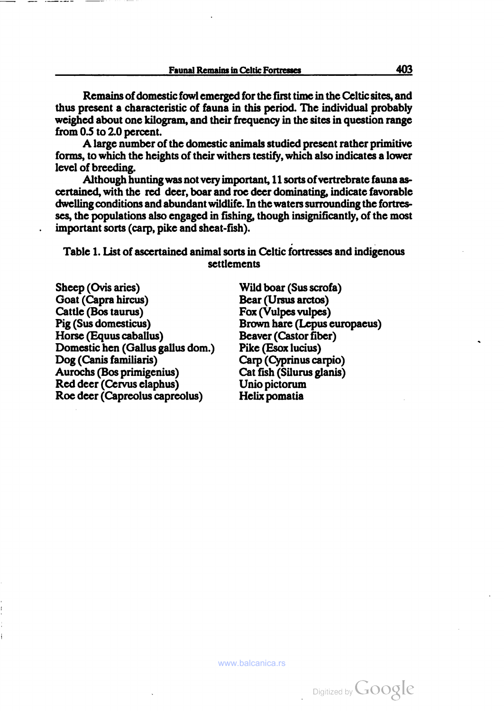Remains of domestic fowl emerged for the first time in the Celtic sites, and thus present a characteristic of fauna in this period. The individual probably weighed about one kilogram, and their frequency in the sites in question range from 0.5 to 2.0 percent. A large number of the domestic animals studied present rather primitive

forms, to which the heights of their withers testify, which also indicates a lower level of breeding.

Although hunting was not very important, 11 sorts of vertrebrate fauna ascertained, with the red deer, boar and roe deer dominating, indicate favorable dwelling conditions and abundant wildlife. In the waters surrounding the fortres ses, the populations also engaged in fishing, though insignificantly, of the most important sorts (carp, pike and sheat-fish).

Table 1. List of ascertained animal sorts in Celtic fortresses and indigenous settlements

Sheep (Ovis aries) Wild boar (Sus scrofa) Goat (Capra hircus) Bear (Ursus arctos) Cattle (Bos taurus) Fox (Vulpes vulpes) Pig (Sus domesticus) Brown hare (Lepus europaeus) Horse (Equus caballus) Beaver (Castor fiber) Domestic hen (Callus gallus dom.) Pike (Esox lucius) Dog (Canis familiaris) Carp (Cyprinus carpió) Aurochs (Bos primigenius) Cat fish (Silurus glanis) Red deer (Cervus elaphus) Unió pictorum Roe deer (Capreolus capreolus) Helix pomatia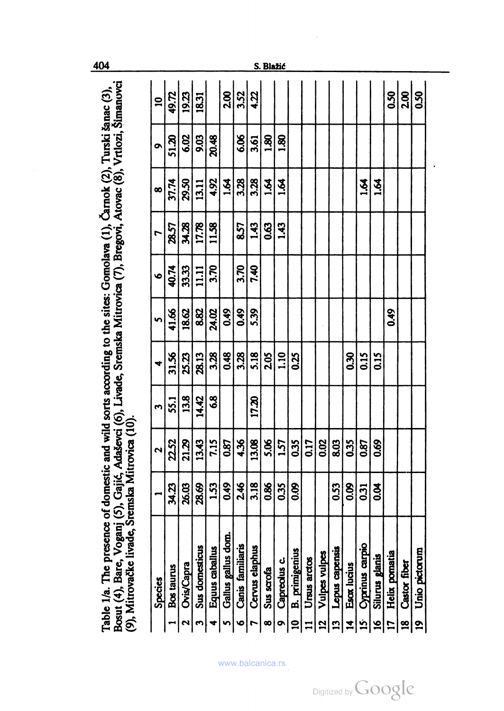| Species                               |                  | $\mathbf{\hat{z}}$ | 3             |       | n     | Ó     |       | œ                    | ō           | $\overline{a}$  |
|---------------------------------------|------------------|--------------------|---------------|-------|-------|-------|-------|----------------------|-------------|-----------------|
| Bos taurus                            | 34.23            | 2252               | 55.1          | 31.56 | 41.66 | 40.74 | 28.57 | 37.74                | 51.20       | 49.72           |
| <b>Ovis/Capra</b><br>2                | 26.03            | 21.29              | 13.8          | 25.23 | 18.62 | 33.33 | 34.28 | 29.50                | 6.02        | 19.23           |
| Sus domesticus<br>m                   | 28.69            | 13.43              | 14.42         | 28.13 | 8.82  | 11.11 | 17.78 | 13.11                | 9.03        | 18.31           |
| Equus caballus<br>◆                   | 1.53             | 7.15               | $\frac{8}{3}$ | 3.28  | 24.02 | 3.70  | 11.58 | 4.92                 | 20.48       |                 |
| Gallus gallus dom.<br>S               | 0.49             | 0.87               |               | 0.48  | 0.49  |       |       | $\tilde{a}$          |             | 2.00            |
| Canis familiaris<br>$\bullet$         | 2.46             | 4.36               |               | 3.28  | 0.49  | 3.70  | 8.57  | 3.28                 | 6.06        | 3.52            |
| Cervus elaphus<br>L                   | 3.18             | 13.08              | 17.20         | 5.18  | 5.39  | 7.40  | 1.43  | 3.28                 | 3.61        | 4.22            |
| Sus scrofa<br>$\infty$                | 0.86             | <b>S.06</b>        |               | 2.05  |       |       | 0.63  | $\tilde{q}$          | <b>80</b>   |                 |
| Capreolus c.<br>$\bullet$             | 0.35             | 1.57               |               | 1.10  |       |       | 1.43  | $\ddot{8}$           | <b>82.1</b> |                 |
| <b>B.</b> primigenius<br>$\mathbf{a}$ | 830              | 0.35               |               | 0.25  |       |       |       |                      |             |                 |
| Ursus arctos<br>$\overline{1}$        |                  | 0.17               |               |       |       |       |       |                      |             |                 |
| Vulpes vulpes<br>$\overline{5}$       |                  | 0.02               |               |       |       |       |       |                      |             |                 |
| Lepus capensis<br>$\overline{13}$     | 0.53             | 8.03               |               |       |       |       |       |                      |             |                 |
| Esox lucius<br>$\overline{a}$         | 89               | 0.35               |               | 0.30  |       |       |       |                      |             |                 |
| 15 Cyprinus carpio                    | $\overline{0}31$ | 0.87               |               | 0.15  |       |       |       | $\tilde{z}$          |             |                 |
| Silurus glanis<br>16                  | <b>89</b>        | 0.69               |               | 0.15  |       |       |       | $\tilde{\mathbf{z}}$ |             |                 |
| Helix pomatia<br>$\overline{17}$      |                  |                    |               |       | 0.49  |       |       |                      |             | 0.50            |
| <b>Castor fiber</b><br><u>g</u>       |                  |                    |               |       |       |       |       |                      |             | 200             |
| Unio pictorum<br><u>ອ</u>             |                  |                    |               |       |       |       |       |                      |             | 50 <sub>o</sub> |

404

S. Blažić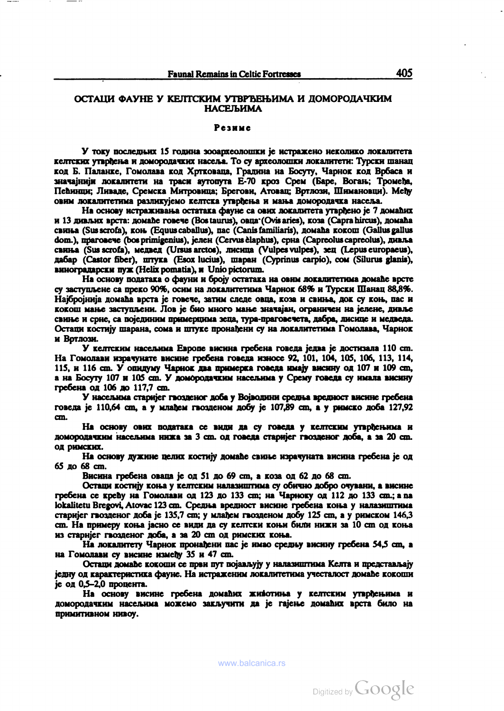## ОСТАЦИ ФАУНЕ У КЕЛТСКИМ УТВРЪЕЊИМА И ДОМОРОДАЧКИМ НАСЕЉИМА

#### Резиме

У току последних 15 година зооархеолошки је истражено неколико локалитета келтских утврђења и домородачких насеља. То су археолошки локалитети: Турски шанац код Б. Паланке, Гомолава код Хртковаца, Градина на Босуту, Чарнок код Врбаса и значајнији локалитети на траси аутопута Е-70 кроз Срем (Баре, Вогањ; Тромеђа, Пепинци; Ливаде, Сремска Митровица; Брегови, Атовац; Вртлози, Шимановци). Mety овим локалитетима разликујемо келтска утврђења и мања домородачка насеља.<br>На основу истраживања остатака фауне са ових локалитета утврђено је 7 домаћих

и 13 дивлих врста: домаће говече (Bostaurus), овца (Ovisaries), коза (Capra hircus), домаћа свиња (Sus scrofa), коњ. (Equus caballus), пас (Canis familiaris), домаћа кокош (Gallus gallus dom.), праговече (bos primigenius), јелен (Cervus èlaphus), срна (Capreolus capreolus), дивља свшьа (Sus scrofa), медвед (Ursus árelos), лисица (Vulpes vulpes), зец (Lepus europaeus), дабар (Castor fiber), штука (Esox lucius), шаран (Cyprínus carpió), сом (Silurus glanis), виноградарски пуж (Helix pomatia), <sup>и</sup> Unió pictorum. На основу података <sup>о</sup> фауни <sup>и</sup> 6pojy остатака на овим локалитетима домапе врете

су заступљене са преко 90%, осим на локалитетима Чарнок 68% и Турски Шанац 88,8%.<br>Најбројнија домаћа врста је говече, затим следе овца, коза и свиња, док су коњ, пас и кокош мање заступљени. Лов је био много мање значајан, ограничен на јелене, дивље свиње и срне, са појединим примерцима зеца, тура-праговечета, дабра, лисице и медведа. Остаци костију шарана, сома и штуке пронађени су на локалитетима Гомолава, Чарнок и Вртлози.<br>У келтским насељима Европе висина гребена говеда једва је достизала 110 cm.

На Гомолави израчунате висине гребена говеда износе 92, 101, 104, 105, 106, 113, 114, 115, и <sup>116</sup> cm. У опидуму Чарнок два примерка говеда miajy висину од <sup>107</sup> и <sup>109</sup> cm, а на Босуту 107 и 105 cm. У домородачким населима у Срему говеда су имала висину гребена од 106 до 117,7 cm.<br>У насељима старијег гвозденог доба у Војводини средња вредност висине гребена

говеда je 110,64 cm, а у млаЪем гвощеном добу je 107,89 cm, a y римско доба 127,92 cm.<br>На основу ових података се види да су говеда у келтским утврђењима и

домородачким населима нижа за 3 cm. од говеда crapnjer гвозденог доба, а за 20 cm. од римских.<br>На основу дужине целих костију домаће свиње израчуната висина гребена је од

<sup>65</sup> до 68 cm. Висина гребена оваца je од <sup>51</sup> до <sup>69</sup> cm, <sup>a</sup> коза од <sup>62</sup> до 68 cm.

Остаци костију коња у келтским налазиштима су обично добро очувани, а висине гребена се крепу на Гомолави од 123 до 133 cm; на Чарноку од 112 до 133 ст.; а па lokalitetu Bregovi, Atovac 123 ст. Средња вредност висине гребена коња у налазиштима старијег гвозденог доба је 135,7 cm; у млађем гвозденом добу 125 cm, а у римском 146,3 cm. На примеру коња јасно се види да су келтски коњи били нижи за 10 cm од коња из старијег гвозденог доба, а за 20 cm од римских коња.<br>На локалитету Чарнок пронађени пас је имао средњу висину гребена 54,5 cm, а

на Гомолави су висине између 35 и 47 cm.<br>Остаци домађе кокоши се први пут појављују у налазиштима Келта и представљају

jcrjry од карактеристика фауне. На истраженим локалитетима учесталост домаЬе кокоши је од 0,5-2,0 процента.<br>На основу висине гребена домаћих животиња у келтским утврђењима и

домородачким населима можемо заклучити да je rajcii.e домапих врста било на примитивном нивоу.